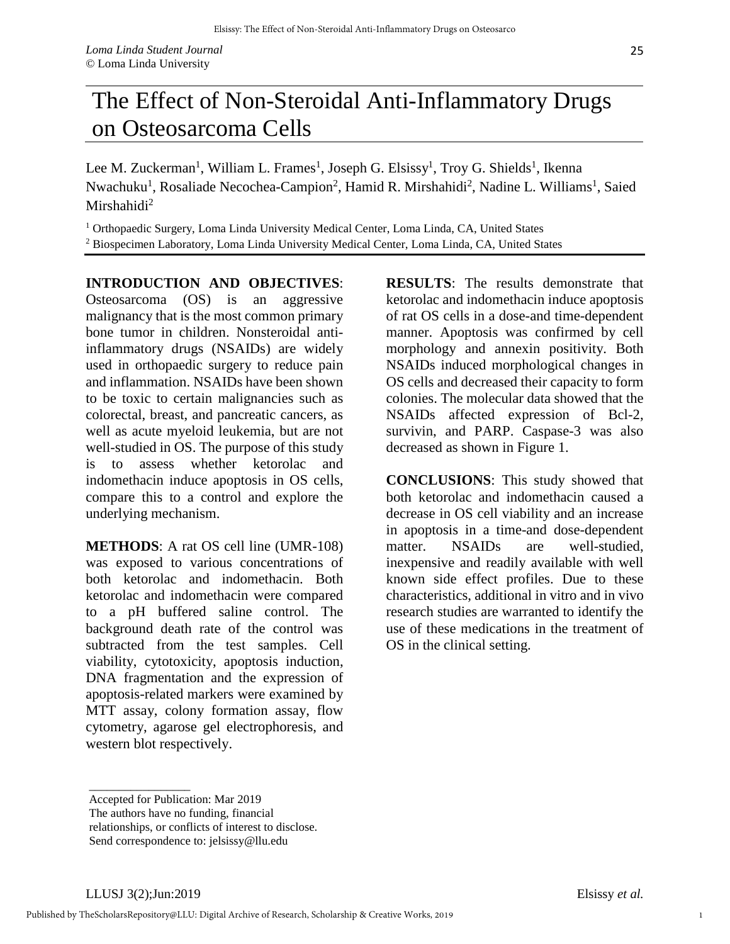## The Effect of Non-Steroidal Anti-Inflammatory Drugs on Osteosarcoma Cells

Lee M. Zuckerman<sup>1</sup>, William L. Frames<sup>1</sup>, Joseph G. Elsissy<sup>1</sup>, Troy G. Shields<sup>1</sup>, Ikenna Nwachuku<sup>1</sup>, Rosaliade Necochea-Campion<sup>2</sup>, Hamid R. Mirshahidi<sup>2</sup>, Nadine L. Williams<sup>1</sup>, Saied Mirshahidi $^2$ 

<sup>1</sup> Orthopaedic Surgery, Loma Linda University Medical Center, Loma Linda, CA, United States <sup>2</sup> Biospecimen Laboratory, Loma Linda University Medical Center, Loma Linda, CA, United States

## **INTRODUCTION AND OBJECTIVES**:

Osteosarcoma (OS) is an aggressive malignancy that is the most common primary bone tumor in children. Nonsteroidal antiinflammatory drugs (NSAIDs) are widely used in orthopaedic surgery to reduce pain and inflammation. NSAIDs have been shown to be toxic to certain malignancies such as colorectal, breast, and pancreatic cancers, as well as acute myeloid leukemia, but are not well-studied in OS. The purpose of this study is to assess whether ketorolac and indomethacin induce apoptosis in OS cells, compare this to a control and explore the underlying mechanism.

**METHODS**: A rat OS cell line (UMR-108) was exposed to various concentrations of both ketorolac and indomethacin. Both ketorolac and indomethacin were compared to a pH buffered saline control. The background death rate of the control was subtracted from the test samples. Cell viability, cytotoxicity, apoptosis induction, DNA fragmentation and the expression of apoptosis-related markers were examined by MTT assay, colony formation assay, flow cytometry, agarose gel electrophoresis, and western blot respectively.

**RESULTS**: The results demonstrate that ketorolac and indomethacin induce apoptosis of rat OS cells in a dose-and time-dependent manner. Apoptosis was confirmed by cell morphology and annexin positivity. Both NSAIDs induced morphological changes in OS cells and decreased their capacity to form colonies. The molecular data showed that the NSAIDs affected expression of Bcl-2, survivin, and PARP. Caspase-3 was also decreased as shown in Figure 1.

**CONCLUSIONS**: This study showed that both ketorolac and indomethacin caused a decrease in OS cell viability and an increase in apoptosis in a time-and dose-dependent matter. NSAIDs are well-studied. inexpensive and readily available with well known side effect profiles. Due to these characteristics, additional in vitro and in vivo research studies are warranted to identify the use of these medications in the treatment of OS in the clinical setting.

\_\_\_\_\_\_\_\_\_\_\_\_\_\_\_\_\_ Accepted for Publication: Mar 2019

The authors have no funding, financial

relationships, or conflicts of interest to disclose.

Send correspondence to: jelsissy@llu.edu